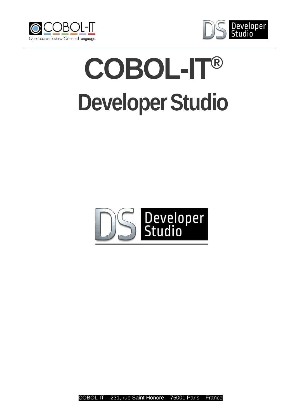



# **COBOL-IT® DeveloperStudio**



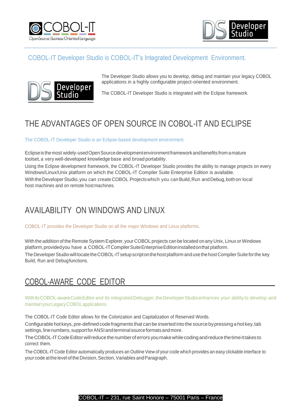



#### COBOL-IT Developer Studio is COBOL-IT's Integrated Development Environment.



The Developer Studio allows you to develop, debug and maintain your legacy COBOL applications in a highly configurable project-oriented environment.

The COBOL-IT Developer Studio is integrated with the Eclipse framework.

## THE ADVANTAGES OF OPEN SOURCE IN COBOL-IT AND ECLIPSE

The COBOL-IT Developer Studio is an Eclipse-based development environment.

Eclipseisthemost widely-usedOpenSourcedevelopmentenvironmentframeworkandbenefits fromamature toolset, a very well-developed knowledge base and broad portability.

Using the Eclipse development framework, the COBOL-IT Developer Studio provides the ability to manage projects on every Windows/Linux/Unix platform on which the COBOL-IT Compiler Suite Enterprise Edition is available. WiththeDeveloperStudio,you can create COBOL Projectswhich you canBuild,Run andDebug,bothon local host machines and on remote host machines.

### AVAILABILITY ON WINDOWS AND LINUX

COBOL-IT provides the Developer Studio on all the major Windows and Linux platforms.

With the addition of the Remote System Explorer, your COBOL projects can be located on any Unix, Linux or Windows platform, providedyou have a COBOL-ITCompiler Suite Enterprise Edition installed on that platform. The Developer Studio will locate the COBOL-IT setup script on the host platform and use the host Compiler Suite for the key Build, Run and Debugfunctions.

#### COBOL-AWARE CODE EDITOR

WithitsCOBOL-awareCode Editor and its integrated Debugger, the Developer Studio enhances your ability to develop and maintain yourLegacyCOBOLapplications.

The COBOL-IT Code Editor allows for the Colorization and Capitalization of Reserved Words.

Configurable hot keys, pre-defined codefragments that canbe inserted into the sourcebypressing a hot key,tab settings, line numbers, support for ANSI and terminal source formats and more.

The COBOL-IT Code Editor will reduce the number of errors you make while coding and reduce the time it takes to correct them.

The COBOL-IT Code Editor automatically produces an Outline View of your code which provides an easy clickable interface to your code at the level of the Division, Section, Variables and Paragraph.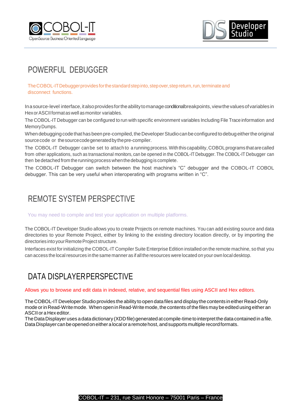



## POWERFUL DEBUGGER

TheCOBOL-ITDebuggerprovides forthestandardstepinto,stepover,stepreturn,run,terminateand disconnect functions.

In a source-level interface, it also provides for the ability to manage conditionalbreakpoints, view the values of variables in HexorASCIIformataswellasmonitor variables.

The COBOL-IT Debugger can be configured to run with specific environment variables Including File Trace information and MemoryDumps.

When debugging code that has been pre-compiled, the Developer Studio can be configured to debug either the original sourcecode or thesourcecodegeneratedbythepre-compiler.

The COBOL-IT Debugger canbe set to attach to a running process. With this capability, COBOL programs that are called from other applications, such as transactional monitors, can be opened in the COBOL-IT Debugger. The COBOL-IT Debugger can then be detached from the running process when the debugging is complete.

The COBOL-IT Debugger can switch between the host machine's "C" debugger and the COBOL-IT COBOL debugger. This can be very useful when interoperating with programs written in "C".

## REMOTE SYSTEM PERSPECTIVE

You may need to compile and test your application on multiple platforms.

The COBOL-IT Developer Studio allows you to create Projects on remote machines. You can add existing source and data directories to your Remote Project, either by linking to the existing directory location directly, or by importing the directories into your Remote Project structure.

Interfaces exist forinitializing the COBOL-IT Compiler Suite Enterprise Edition installed on the remote machine, so that you can access the local resources in the same manner as if all the resources were located on your own local desktop.

## DATA DISPLAYERPERSPECTIVE

Allows you to browse and edit data in indexed, relative, and sequential files using ASCII and Hex editors.

The COBOL-IT Developer Studio provides the ability to open data files and display the contents in either Read-Only mode or in Read-Write mode. When open in Read-Write mode, the contents of the files may be edited using either an ASCII or aHex editor.

The Data Displayer uses a data dictionary (XDD file) generated at compile-time to interpret the data contained in a file. Data Displayer can be opened on either a local or a remote host, and supports multiple record formats.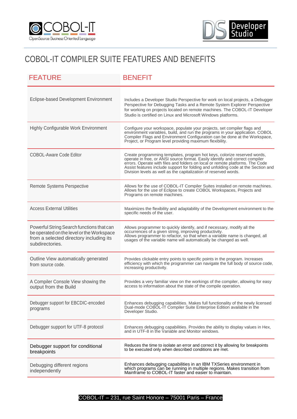



## COBOL-IT COMPILER SUITE FEATURES AND BENEFITS

| <b>FEATURE</b>                                                                                                                                       | <b>BENEFIT</b>                                                                                                                                                                                                                                                                                                                                                                                     |
|------------------------------------------------------------------------------------------------------------------------------------------------------|----------------------------------------------------------------------------------------------------------------------------------------------------------------------------------------------------------------------------------------------------------------------------------------------------------------------------------------------------------------------------------------------------|
| Eclipse-based Development Environment                                                                                                                | Includes a Developer Studio Perspective for work on local projects, a Debugger<br>Perspective for Debugging Tasks and a Remote System Explorer Perspective<br>for working on projects located on remote machines. The COBOL-IT Developer<br>Studio is certified on Linux and Microsoft Windows platforms.                                                                                          |
| <b>Highly Configurable Work Environment</b>                                                                                                          | Configure your workspace, populate your projects, set compiler flags and<br>environment variables, build, and run the programs in your application. COBOL<br>Compiler Flags and Environment Configuration can be done at the Workspace,<br>Project, or Program level providing maximum flexibility.                                                                                                |
| <b>COBOL-Aware Code Editor</b>                                                                                                                       | Create programming templates, program hot keys, colorize reserved words,<br>operate in free, or ANSI source format. Easily identify and correct compiler<br>errors. Operate with files and folders on local or remote platforms. The Code<br>Assist features include support for folding and unfolding code at the Section and<br>Division levels as well as the capitalization of reserved words. |
| <b>Remote Systems Perspective</b>                                                                                                                    | Allows for the use of COBOL-IT Compiler Suites installed on remote machines.<br>Allows for the use of Eclipse to create COBOL Workspaces, Projects and<br>Programs on remote machines.                                                                                                                                                                                                             |
| <b>Access External Utilities</b>                                                                                                                     | Maximizes the flexibility and adaptability of the Development environment to the<br>specific needs of the user.                                                                                                                                                                                                                                                                                    |
| Powerful String Search functions that can<br>be operated on the level or the Workspace<br>from a selected directory including its<br>subdirectories. | Allows programmer to quickly identify, and if necessary, modify all the<br>occurrences of a given string, improving productivity.<br>Allows programmer to refactor, so that when a variable name is changed, all<br>usages of the variable name will automatically be changed as well.                                                                                                             |
| Outline View automatically generated<br>from source code.                                                                                            | Provides clickable entry points to specific points in the program. Increases<br>efficiency with which the programmer can navigate the full body of source code,<br>increasing productivity.                                                                                                                                                                                                        |
| A Compiler Console View showing the<br>output from the Build                                                                                         | Provides a very familiar view on the workings of the compiler, allowing for easy<br>access to information about the state of the compile operation.                                                                                                                                                                                                                                                |
| Debugger support for EBCDIC-encoded<br>programs                                                                                                      | Enhances debugging capabilities. Makes full functionality of the newly licensed<br>Dual-mode COBOL-IT Compiler Suite Enterprise Edition available in the<br>Developer Studio.                                                                                                                                                                                                                      |
| Debugger support for UTF-8 protocol                                                                                                                  | Enhances debugging capabilities. Provides the ability to display values in Hex, and in UTF-8 in the Variable and Monitor windows.                                                                                                                                                                                                                                                                  |
| Debugger support for conditional<br>breakpoints                                                                                                      | Reduces the time to isolate an error and correct it by allowing for breakpoints<br>to be executed only when described conditions are met.                                                                                                                                                                                                                                                          |
| Debugging different regions<br>independently                                                                                                         | Enhances debugging capabilities in an IBM TXSeries environment in<br>which programs can be running in multiple regions. Makes transition from<br>Mainframe to COBOL-IT faster and easier to maintain.                                                                                                                                                                                              |